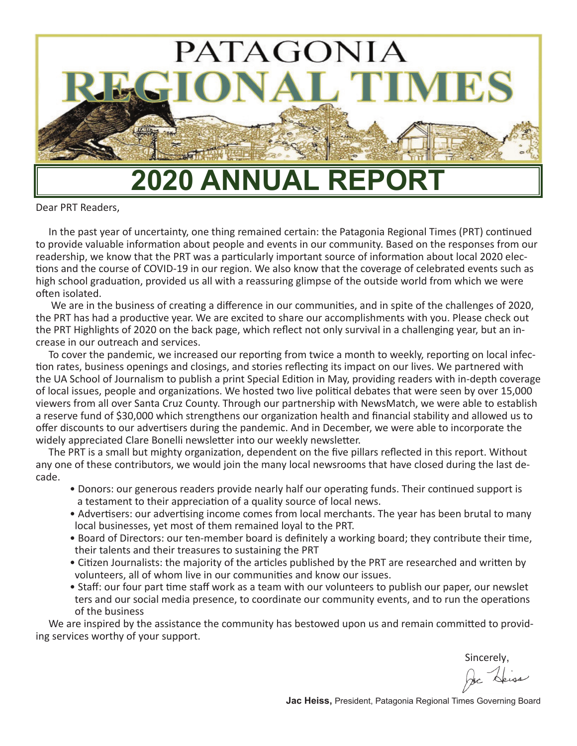

Dear PRT Readers,

In the past year of uncertainty, one thing remained certain: the Patagonia Regional Times (PRT) continued to provide valuable information about people and events in our community. Based on the responses from our readership, we know that the PRT was a particularly important source of information about local 2020 elections and the course of COVID-19 in our region. We also know that the coverage of celebrated events such as high school graduation, provided us all with a reassuring glimpse of the outside world from which we were often isolated.

 We are in the business of creating a difference in our communities, and in spite of the challenges of 2020, the PRT has had a productive year. We are excited to share our accomplishments with you. Please check out the PRT Highlights of 2020 on the back page, which reflect not only survival in a challenging year, but an increase in our outreach and services.

To cover the pandemic, we increased our reporting from twice a month to weekly, reporting on local infection rates, business openings and closings, and stories reflecting its impact on our lives. We partnered with the UA School of Journalism to publish a print Special Edition in May, providing readers with in-depth coverage of local issues, people and organizations. We hosted two live political debates that were seen by over 15,000 viewers from all over Santa Cruz County. Through our partnership with NewsMatch, we were able to establish a reserve fund of \$30,000 which strengthens our organization health and financial stability and allowed us to offer discounts to our advertisers during the pandemic. And in December, we were able to incorporate the widely appreciated Clare Bonelli newsletter into our weekly newsletter.

The PRT is a small but mighty organization, dependent on the five pillars reflected in this report. Without any one of these contributors, we would join the many local newsrooms that have closed during the last decade.

- Donors: our generous readers provide nearly half our operating funds. Their continued support is a testament to their appreciation of a quality source of local news.
- Advertisers: our advertising income comes from local merchants. The year has been brutal to many local businesses, yet most of them remained loyal to the PRT.
- Board of Directors: our ten-member board is definitely a working board; they contribute their time, their talents and their treasures to sustaining the PRT
- Citizen Journalists: the majority of the articles published by the PRT are researched and written by volunteers, all of whom live in our communities and know our issues.
- Staff: our four part time staff work as a team with our volunteers to publish our paper, our newslet ters and our social media presence, to coordinate our community events, and to run the operations of the business

We are inspired by the assistance the community has bestowed upon us and remain committed to providing services worthy of your support.

Sincerely,  $\bigcirc$   $\mathcal{A}$  /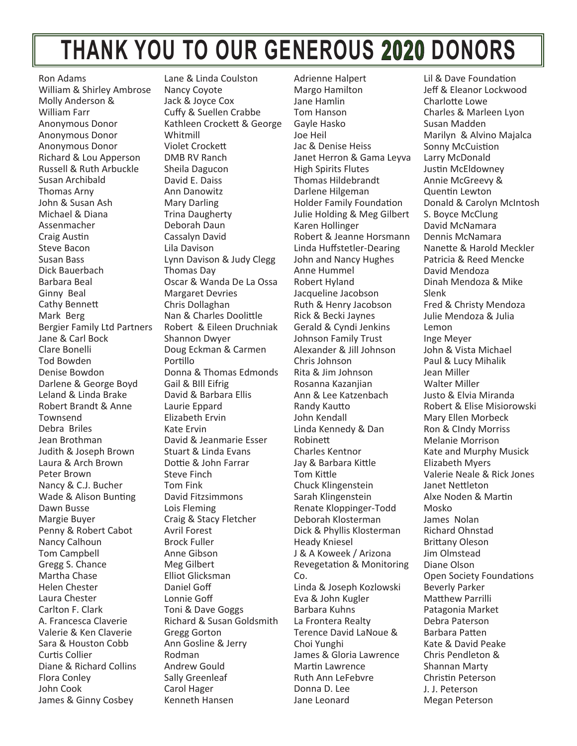## **THANK YOU TO OUR GENEROUS 2020 DONORS**

Ron Adams William & Shirley Ambrose Molly Anderson & William Farr Anonymous Donor Anonymous Donor Anonymous Donor Richard & Lou Apperson Russell & Ruth Arbuckle Susan Archibald Thomas Arny John & Susan Ash Michael & Diana Assenmacher Craig Austin Steve Bacon Susan Bass Dick Bauerbach Barbara Beal Ginny Beal Cathy Bennett Mark Berg Bergier Family Ltd Partners Jane & Carl Bock Clare Bonelli Tod Bowden Denise Bowdon Darlene & George Boyd Leland & Linda Brake Robert Brandt & Anne Townsend Debra Briles Jean Brothman Judith & Joseph Brown Laura & Arch Brown Peter Brown Nancy & C.J. Bucher Wade & Alison Bunting Dawn Busse Margie Buyer Penny & Robert Cabot Nancy Calhoun Tom Campbell Gregg S. Chance Martha Chase Helen Chester Laura Chester Carlton F. Clark A. Francesca Claverie Valerie & Ken Claverie Sara & Houston Cobb Curtis Collier Diane & Richard Collins Flora Conley John Cook James & Ginny Cosbey

Lane & Linda Coulston Nancy Coyote Jack & Joyce Cox Cuffy & Suellen Crabbe Kathleen Crockett & George Whitmill Violet Crockett DMB RV Ranch Sheila Dagucon David E. Daiss Ann Danowitz Mary Darling Trina Daugherty Deborah Daun Cassalyn David Lila Davison Lynn Davison & Judy Clegg Thomas Day Oscar & Wanda De La Ossa Margaret Devries Chris Dollaghan Nan & Charles Doolittle Robert & Eileen Druchniak Shannon Dwyer Doug Eckman & Carmen Portillo Donna & Thomas Edmonds Gail & BIll Eifrig David & Barbara Ellis Laurie Eppard Elizabeth Ervin Kate Ervin David & Jeanmarie Esser Stuart & Linda Evans Dottie & John Farrar Steve Finch Tom Fink David Fitzsimmons Lois Fleming Craig & Stacy Fletcher Avril Forest Brock Fuller Anne Gibson Meg Gilbert Elliot Glicksman Daniel Goff Lonnie Goff Toni & Dave Goggs Richard & Susan Goldsmith Gregg Gorton Ann Gosline & Jerry Rodman Andrew Gould Sally Greenleaf Carol Hager Kenneth Hansen

Adrienne Halpert Margo Hamilton Jane Hamlin Tom Hanson Gayle Hasko Joe Heil Jac & Denise Heiss Janet Herron & Gama Leyva High Spirits Flutes Thomas Hildebrandt Darlene Hilgeman Holder Family Foundation Julie Holding & Meg Gilbert Karen Hollinger Robert & Jeanne Horsmann Linda Huffstetler-Dearing John and Nancy Hughes Anne Hummel Robert Hyland Jacqueline Jacobson Ruth & Henry Jacobson Rick & Becki Jaynes Gerald & Cyndi Jenkins Johnson Family Trust Alexander & Jill Johnson Chris Johnson Rita & Jim Johnson Rosanna Kazanjian Ann & Lee Katzenbach Randy Kautto John Kendall Linda Kennedy & Dan Robinett Charles Kentnor Jay & Barbara Kittle Tom Kittle Chuck Klingenstein Sarah Klingenstein Renate Kloppinger-Todd Deborah Klosterman Dick & Phyllis Klosterman Heady Kniesel J & A Koweek / Arizona Revegetation & Monitoring Co. Linda & Joseph Kozlowski Eva & John Kugler Barbara Kuhns La Frontera Realty Terence David LaNoue & Choi Yunghi James & Gloria Lawrence Martin Lawrence Ruth Ann LeFebvre Donna D. Lee Jane Leonard

Lil & Dave Foundation Jeff & Eleanor Lockwood Charlotte Lowe Charles & Marleen Lyon Susan Madden Marilyn & Alvino Majalca Sonny McCuistion Larry McDonald Justin McEldowney Annie McGreevy & Quentin Lewton Donald & Carolyn McIntosh S. Boyce McClung David McNamara Dennis McNamara Nanette & Harold Meckler Patricia & Reed Mencke David Mendoza Dinah Mendoza & Mike Slenk Fred & Christy Mendoza Julie Mendoza & Julia Lemon Inge Meyer John & Vista Michael Paul & Lucy Mihalik Jean Miller Walter Miller Justo & Elvia Miranda Robert & Elise Misiorowski Mary Ellen Morbeck Ron & CIndy Morriss Melanie Morrison Kate and Murphy Musick Elizabeth Myers Valerie Neale & Rick Jones Janet Nettleton Alxe Noden & Martin Mosko James Nolan Richard Ohnstad Brittany Oleson Jim Olmstead Diane Olson Open Society Foundations Beverly Parker Matthew Parrilli Patagonia Market Debra Paterson Barbara Patten Kate & David Peake Chris Pendleton & Shannan Marty Christin Peterson J. J. Peterson Megan Peterson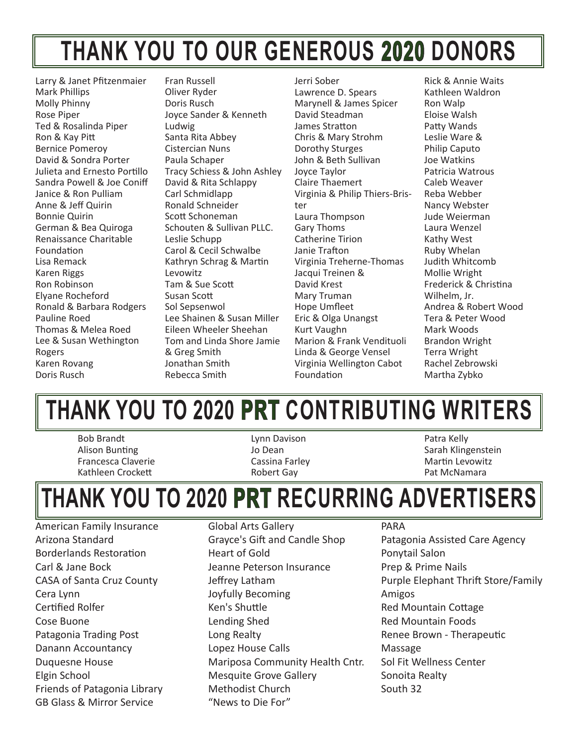# **THANK YOU TO OUR GENEROUS 2020 DONORS**

Larry & Janet Pfitzenmaier Mark Phillips Molly Phinny Rose Piper Ted & Rosalinda Piper Ron & Kay Pitt Bernice Pomeroy David & Sondra Porter Julieta and Ernesto Portillo Sandra Powell & Joe Coniff Janice & Ron Pulliam Anne & Jeff Quirin Bonnie Quirin German & Bea Quiroga Renaissance Charitable Foundation Lisa Remack Karen Riggs Ron Robinson Elyane Rocheford Ronald & Barbara Rodgers Pauline Roed Thomas & Melea Roed Lee & Susan Wethington Rogers Karen Rovang Doris Rusch

Fran Russell Oliver Ryder Doris Rusch Joyce Sander & Kenneth Ludwig Santa Rita Abbey Cistercian Nuns Paula Schaper Tracy Schiess & John Ashley David & Rita Schlappy Carl Schmidlapp Ronald Schneider Scott Schoneman Schouten & Sullivan PLLC. Leslie Schupp Carol & Cecil Schwalbe Kathryn Schrag & Martin Levowitz Tam & Sue Scott Susan Scott Sol Sepsenwol Lee Shainen & Susan Miller Eileen Wheeler Sheehan Tom and Linda Shore Jamie & Greg Smith Jonathan Smith Rebecca Smith

Jerri Sober Lawrence D. Spears Marynell & James Spicer David Steadman James Stratton Chris & Mary Strohm Dorothy Sturges John & Beth Sullivan Joyce Taylor Claire Thaemert Virginia & Philip Thiers-Brister Laura Thompson Gary Thoms Catherine Tirion Janie Trafton Virginia Treherne-Thomas Jacqui Treinen & David Krest Mary Truman Hope Umfleet Eric & Olga Unangst Kurt Vaughn Marion & Frank Vendituoli Linda & George Vensel Virginia Wellington Cabot Foundation

Rick & Annie Waits Kathleen Waldron Ron Walp Eloise Walsh Patty Wands Leslie Ware & Philip Caputo Joe Watkins Patricia Watrous Caleb Weaver Reba Webber Nancy Webster Jude Weierman Laura Wenzel Kathy West Ruby Whelan Judith Whitcomb Mollie Wright Frederick & Christina Wilhelm, Jr. Andrea & Robert Wood Tera & Peter Wood Mark Woods Brandon Wright Terra Wright Rachel Zebrowski Martha Zybko

# **THANK YOU TO 2020 PRT CONTRIBUTING WRITERS**

Bob Brandt Alison Bunting Francesca Claverie Kathleen Crockett

Lynn Davison Jo Dean Cassina Farley Robert Gay

Patra Kelly Sarah Klingenstein Martin Levowitz Pat McNamara

### **THANK YOU TO 2020 PRT RECURRING ADVERTISERS**

- American Family Insurance Arizona Standard Borderlands Restoration Carl & Jane Bock CASA of Santa Cruz County Cera Lynn Certified Rolfer Cose Buone Patagonia Trading Post Danann Accountancy Duquesne House Elgin School Friends of Patagonia Library GB Glass & Mirror Service
- Global Arts Gallery Grayce's Gift and Candle Shop Heart of Gold Jeanne Peterson Insurance Jeffrey Latham Joyfully Becoming Ken's Shuttle Lending Shed Long Realty Lopez House Calls Mariposa Community Health Cntr. Mesquite Grove Gallery Methodist Church "News to Die For"
- PARA

Patagonia Assisted Care Agency Ponytail Salon Prep & Prime Nails Purple Elephant Thrift Store/Family Amigos Red Mountain Cottage Red Mountain Foods Renee Brown - Therapeutic Massage Sol Fit Wellness Center Sonoita Realty South 32